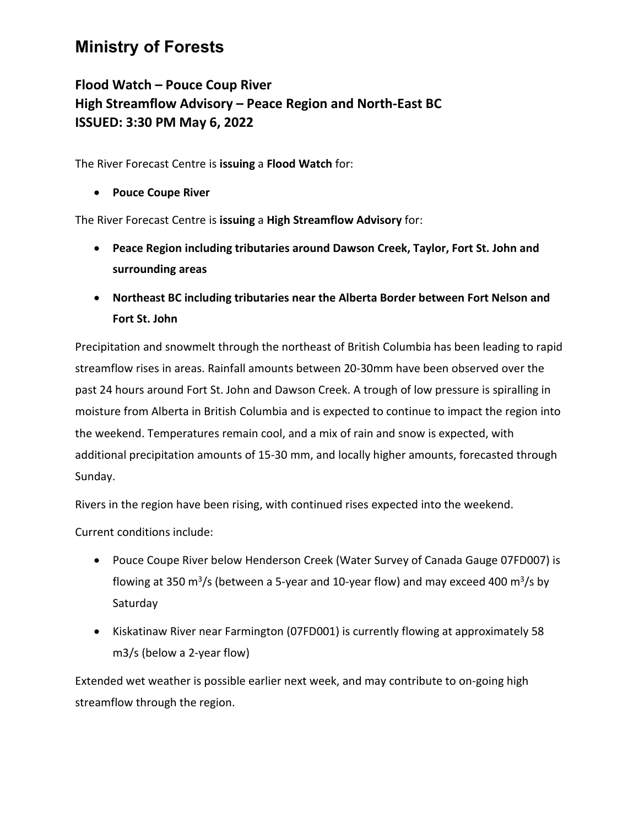## **Ministry of Forests**

## **Flood Watch – Pouce Coup River High Streamflow Advisory – Peace Region and North-East BC ISSUED: 3:30 PM May 6, 2022**

The River Forecast Centre is **issuing** a **Flood Watch** for:

• **Pouce Coupe River**

The River Forecast Centre is **issuing** a **High Streamflow Advisory** for:

- **Peace Region including tributaries around Dawson Creek, Taylor, Fort St. John and surrounding areas**
- **Northeast BC including tributaries near the Alberta Border between Fort Nelson and Fort St. John**

Precipitation and snowmelt through the northeast of British Columbia has been leading to rapid streamflow rises in areas. Rainfall amounts between 20-30mm have been observed over the past 24 hours around Fort St. John and Dawson Creek. A trough of low pressure is spiralling in moisture from Alberta in British Columbia and is expected to continue to impact the region into the weekend. Temperatures remain cool, and a mix of rain and snow is expected, with additional precipitation amounts of 15-30 mm, and locally higher amounts, forecasted through Sunday.

Rivers in the region have been rising, with continued rises expected into the weekend.

Current conditions include:

- Pouce Coupe River below Henderson Creek (Water Survey of Canada Gauge 07FD007) is flowing at 350 m<sup>3</sup>/s (between a 5-year and 10-year flow) and may exceed 400 m<sup>3</sup>/s by Saturday
- Kiskatinaw River near Farmington (07FD001) is currently flowing at approximately 58 m3/s (below a 2-year flow)

Extended wet weather is possible earlier next week, and may contribute to on-going high streamflow through the region.